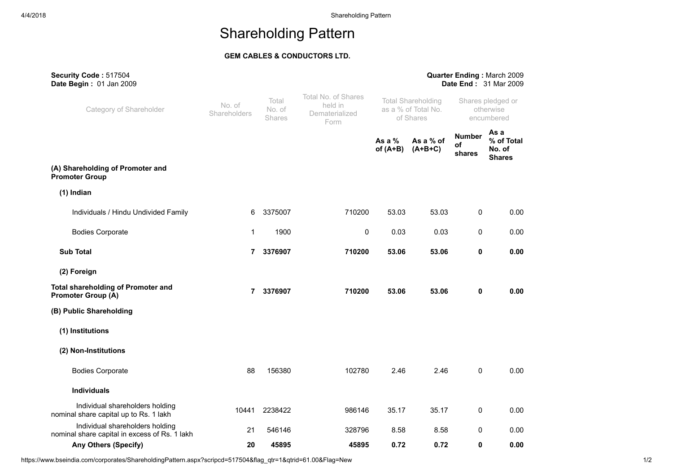## GEM CABLES & CONDUCTORS LTD.

| Security Code: 517504<br>Date Begin: 01 Jan 2009                                 |                        |                                  |                                                          |                                                               |       |                                              | Quarter Ending: March 2009<br>Date End: 31 Mar 2009 |
|----------------------------------------------------------------------------------|------------------------|----------------------------------|----------------------------------------------------------|---------------------------------------------------------------|-------|----------------------------------------------|-----------------------------------------------------|
| Category of Shareholder                                                          | No. of<br>Shareholders | Total<br>No. of<br><b>Shares</b> | Total No. of Shares<br>held in<br>Dematerialized<br>Form | <b>Total Shareholding</b><br>as a % of Total No.<br>of Shares |       | Shares pledged or<br>otherwise<br>encumbered |                                                     |
|                                                                                  |                        |                                  |                                                          | As a $%$<br>As a % of<br>of $(A+B)$<br>$(A+B+C)$              |       | <b>Number</b><br>оf<br>shares                | As a<br>% of Total<br>No. of<br><b>Shares</b>       |
| (A) Shareholding of Promoter and<br><b>Promoter Group</b>                        |                        |                                  |                                                          |                                                               |       |                                              |                                                     |
| $(1)$ Indian                                                                     |                        |                                  |                                                          |                                                               |       |                                              |                                                     |
| Individuals / Hindu Undivided Family                                             | 6                      | 3375007                          | 710200                                                   | 53.03                                                         | 53.03 | 0                                            | 0.00                                                |
| <b>Bodies Corporate</b>                                                          | $\mathbf 1$            | 1900                             | $\mathbf 0$                                              | 0.03                                                          | 0.03  | 0                                            | 0.00                                                |
| <b>Sub Total</b>                                                                 | 7                      | 3376907                          | 710200                                                   | 53.06                                                         | 53.06 | 0                                            | 0.00                                                |
| (2) Foreign                                                                      |                        |                                  |                                                          |                                                               |       |                                              |                                                     |
| <b>Total shareholding of Promoter and</b><br><b>Promoter Group (A)</b>           | $\overline{7}$         | 3376907                          | 710200                                                   | 53.06                                                         | 53.06 | 0                                            | 0.00                                                |
| (B) Public Shareholding                                                          |                        |                                  |                                                          |                                                               |       |                                              |                                                     |
| (1) Institutions                                                                 |                        |                                  |                                                          |                                                               |       |                                              |                                                     |
| (2) Non-Institutions                                                             |                        |                                  |                                                          |                                                               |       |                                              |                                                     |
| <b>Bodies Corporate</b>                                                          | 88                     | 156380                           | 102780                                                   | 2.46                                                          | 2.46  | 0                                            | 0.00                                                |
| <b>Individuals</b>                                                               |                        |                                  |                                                          |                                                               |       |                                              |                                                     |
| Individual shareholders holding<br>nominal share capital up to Rs. 1 lakh        | 10441                  | 2238422                          | 986146                                                   | 35.17                                                         | 35.17 | 0                                            | 0.00                                                |
| Individual shareholders holding<br>nominal share capital in excess of Rs. 1 lakh | 21                     | 546146                           | 328796                                                   | 8.58                                                          | 8.58  | 0                                            | 0.00                                                |
| <b>Any Others (Specify)</b>                                                      | 20                     | 45895                            | 45895                                                    | 0.72                                                          | 0.72  | 0                                            | 0.00                                                |

https://www.bseindia.com/corporates/ShareholdingPattern.aspx?scripcd=517504&flag\_qtr=1&qtrid=61.00&Flag=New 1/2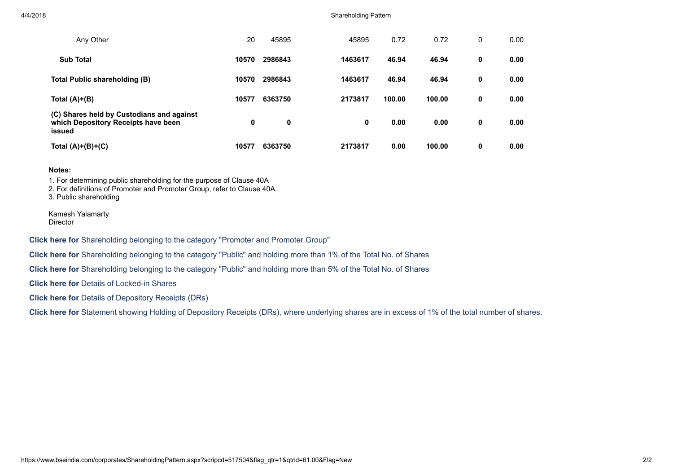#### 4/4/2018 Shareholding Pattern

| Any Other                                                                                  | 20    | 45895   | 45895   | 0.72   | 0.72   | 0 | 0.00 |
|--------------------------------------------------------------------------------------------|-------|---------|---------|--------|--------|---|------|
| <b>Sub Total</b>                                                                           | 10570 | 2986843 | 1463617 | 46.94  | 46.94  | 0 | 0.00 |
| Total Public shareholding (B)                                                              | 10570 | 2986843 | 1463617 | 46.94  | 46.94  | 0 | 0.00 |
| Total $(A)+(B)$                                                                            | 10577 | 6363750 | 2173817 | 100.00 | 100.00 | 0 | 0.00 |
| (C) Shares held by Custodians and against<br>which Depository Receipts have been<br>issued | 0     | 0       | 0       | 0.00   | 0.00   | 0 | 0.00 |
| Total $(A)+(B)+(C)$                                                                        | 10577 | 6363750 | 2173817 | 0.00   | 100.00 | 0 | 0.00 |

#### Notes:

1. For determining public shareholding for the purpose of Clause 40A

2. For definitions of Promoter and Promoter Group, refer to Clause 40A.

3. Public shareholding

Kamesh Yalamarty Director

Click here for Shareholding belonging to the category "Promoter and Promoter Group"

Click here for Shareholding belonging to the category "Public" and holding more than 1% of the Total No. of Shares

Click here for Shareholding belonging to the category "Public" and holding more than 5% of the Total No. of Shares

Click here for Details of Locked-in Shares

Click here for Details of Depository Receipts (DRs)

Click here for Statement showing Holding of Depository Receipts (DRs), where underlying shares are in excess of 1% of the total number of shares.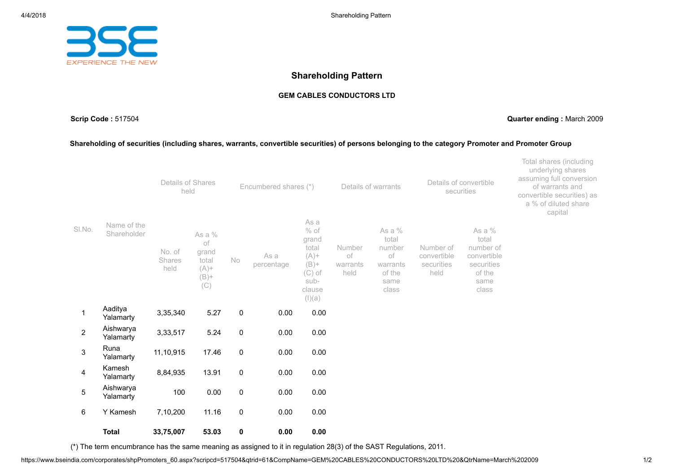

#### GEM CABLES CONDUCTORS LTD

Scrip Code : 517504 Quarter ending : March 2009

#### Shareholding of securities (including shares, warrants, convertible securities) of persons belonging to the category Promoter and Promoter Group

|                |                            | Details of Shares<br>held |                                                             | Encumbered shares (*) |                    | Details of warrants                                                                            |                                  | securities                                                             | Details of convertible                         | Total shares (including<br>underlying shares<br>assuming full conversion<br>of warrants and<br>convertible securities) as<br>a % of diluted share<br>capital |  |
|----------------|----------------------------|---------------------------|-------------------------------------------------------------|-----------------------|--------------------|------------------------------------------------------------------------------------------------|----------------------------------|------------------------------------------------------------------------|------------------------------------------------|--------------------------------------------------------------------------------------------------------------------------------------------------------------|--|
| SI.No.         | Name of the<br>Shareholder | No. of<br>Shares<br>held  | As a %<br>of<br>grand<br>total<br>$(A)$ +<br>$(B)$ +<br>(C) | No                    | As a<br>percentage | As a<br>$%$ of<br>grand<br>total<br>$(A) +$<br>$(B)$ +<br>$(C)$ of<br>sub-<br>clause<br>(I)(a) | Number<br>of<br>warrants<br>held | As a %<br>total<br>number<br>оf<br>warrants<br>of the<br>same<br>class | Number of<br>convertible<br>securities<br>held | As a $%$<br>total<br>number of<br>convertible<br>securities<br>of the<br>same<br>class                                                                       |  |
| 1              | Aaditya<br>Yalamarty       | 3,35,340                  | 5.27                                                        | 0                     | 0.00               | 0.00                                                                                           |                                  |                                                                        |                                                |                                                                                                                                                              |  |
| $\overline{2}$ | Aishwarya<br>Yalamarty     | 3,33,517                  | 5.24                                                        | 0                     | 0.00               | 0.00                                                                                           |                                  |                                                                        |                                                |                                                                                                                                                              |  |
| $\mathfrak{S}$ | Runa<br>Yalamarty          | 11,10,915                 | 17.46                                                       | $\mathsf{O}\xspace$   | 0.00               | 0.00                                                                                           |                                  |                                                                        |                                                |                                                                                                                                                              |  |
| 4              | Kamesh<br>Yalamarty        | 8,84,935                  | 13.91                                                       | $\mathsf{O}$          | 0.00               | 0.00                                                                                           |                                  |                                                                        |                                                |                                                                                                                                                              |  |
| $\overline{5}$ | Aishwarya<br>Yalamarty     | 100                       | 0.00                                                        | $\pmb{0}$             | 0.00               | 0.00                                                                                           |                                  |                                                                        |                                                |                                                                                                                                                              |  |
| 6              | Y Kamesh                   | 7,10,200                  | 11.16                                                       | 0                     | 0.00               | 0.00                                                                                           |                                  |                                                                        |                                                |                                                                                                                                                              |  |
|                | <b>Total</b>               | 33,75,007                 | 53.03                                                       | 0                     | 0.00               | 0.00                                                                                           |                                  |                                                                        |                                                |                                                                                                                                                              |  |

(\*) The term encumbrance has the same meaning as assigned to it in regulation 28(3) of the SAST Regulations, 2011.

https://www.bseindia.com/corporates/shpPromoters\_60.aspx?scripcd=517504&qtrid=61&CompName=GEM%20CABLES%20CONDUCTORS%20LTD%20&QtrName=March%202009 1/2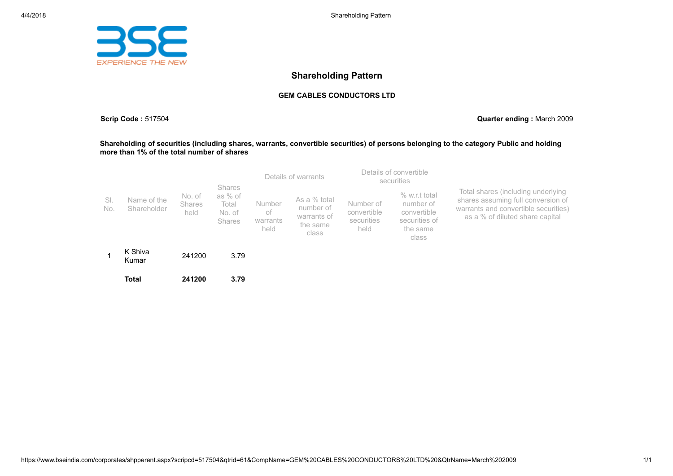

#### GEM CABLES CONDUCTORS LTD

Scrip Code : 517504 Quarter ending : March 2009

#### Shareholding of securities (including shares, warrants, convertible securities) of persons belonging to the category Public and holding more than 1% of the total number of shares

|            |                            |                                 |                                                       | Details of warrants |  | Details of convertible<br>securities |                                                               |                                                |                                                                                 |                                                                                                                                                     |
|------------|----------------------------|---------------------------------|-------------------------------------------------------|---------------------|--|--------------------------------------|---------------------------------------------------------------|------------------------------------------------|---------------------------------------------------------------------------------|-----------------------------------------------------------------------------------------------------------------------------------------------------|
| SI.<br>No. | Name of the<br>Shareholder | No. of<br><b>Shares</b><br>held | Shares<br>as % of<br>Total<br>No. of<br><b>Shares</b> |                     |  | Number<br>оf<br>warrants<br>held     | As a % total<br>number of<br>warrants of<br>the same<br>class | Number of<br>convertible<br>securities<br>held | % w.r.t total<br>number of<br>convertible<br>securities of<br>the same<br>class | Total shares (including underlying<br>shares assuming full conversion of<br>warrants and convertible securities)<br>as a % of diluted share capital |
|            | K Shiva<br>Kumar           | 241200                          | 3.79                                                  |                     |  |                                      |                                                               |                                                |                                                                                 |                                                                                                                                                     |
|            | <b>Total</b>               | 241200                          | 3.79                                                  |                     |  |                                      |                                                               |                                                |                                                                                 |                                                                                                                                                     |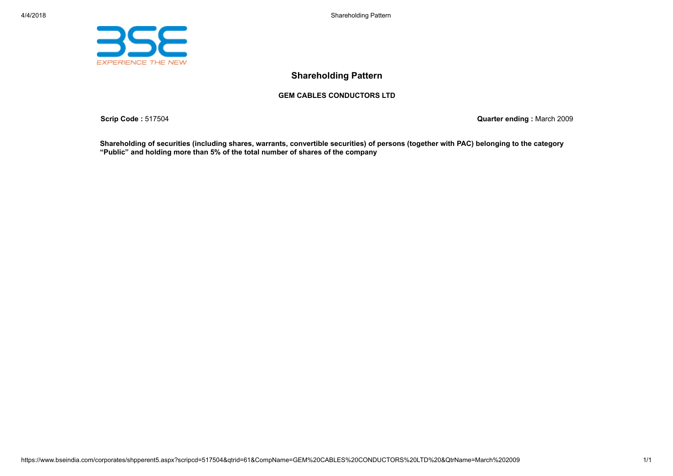



## GEM CABLES CONDUCTORS LTD

Scrip Code : 517504 Quarter ending : March 2009

Shareholding of securities (including shares, warrants, convertible securities) of persons (together with PAC) belonging to the category "Public" and holding more than 5% of the total number of shares of the company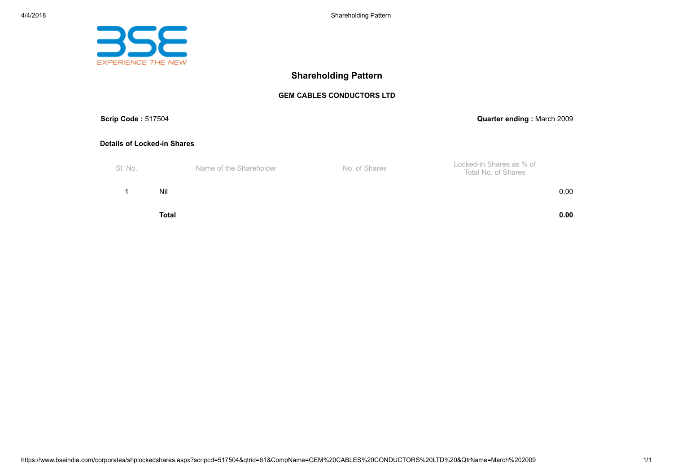

## GEM CABLES CONDUCTORS LTD

| <b>Scrip Code: 517504</b>          |              |                         |               | Quarter ending: March 2009                      |
|------------------------------------|--------------|-------------------------|---------------|-------------------------------------------------|
| <b>Details of Locked-in Shares</b> |              |                         |               |                                                 |
| SI. No.                            |              | Name of the Shareholder | No. of Shares | Locked-in Shares as % of<br>Total No. of Shares |
|                                    | Nil          |                         |               | 0.00                                            |
|                                    | <b>Total</b> |                         |               | 0.00                                            |

https://www.bseindia.com/corporates/shplockedshares.aspx?scripcd=517504&qtrid=61&CompName=GEM%20CABLES%20CONDUCTORS%20LTD%20&QtrName=March%202009 1/1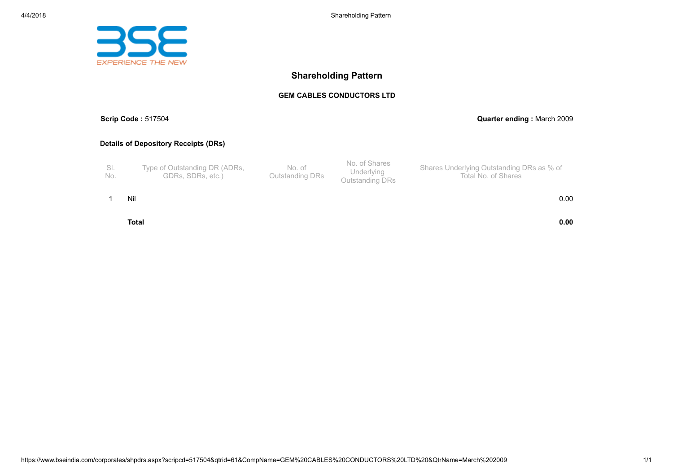

#### GEM CABLES CONDUCTORS LTD

## Scrip Code : 517504 Quarter ending : March 2009

## Details of Depository Receipts (DRs)

| No. | Type of Outstanding DR (ADRs,<br>GDRs. SDRs. etc.) | No. of<br>Outstanding DRs | No. of Shares<br>Underlying<br>Outstanding DRs | Shares Underlying Outstanding DRs as % of<br>Total No. of Shares |
|-----|----------------------------------------------------|---------------------------|------------------------------------------------|------------------------------------------------------------------|
|-----|----------------------------------------------------|---------------------------|------------------------------------------------|------------------------------------------------------------------|

1 Nil 0.00

Total 0.00